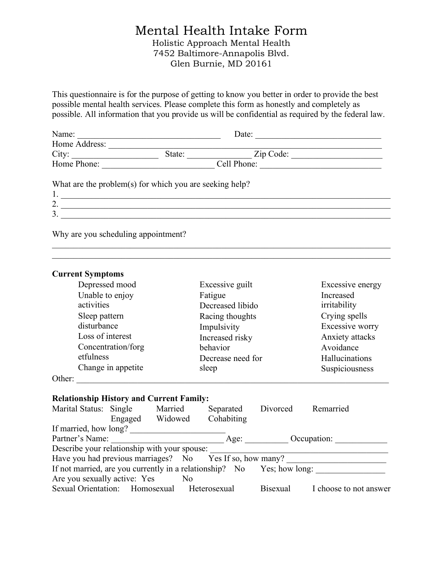# Mental Health Intake Form Holistic Approach Mental Health 7452 Baltimore-Annapolis Blvd. Glen Burnie, MD 20161

This questionnaire is for the purpose of getting to know you better in order to provide the best possible mental health services. Please complete this form as honestly and completely as possible. All information that you provide us will be confidential as required by the federal law.

| Name:            |                                                         | Date:                   |  |
|------------------|---------------------------------------------------------|-------------------------|--|
| Home Address:    |                                                         |                         |  |
| City:            |                                                         | State: <u>Zip Code:</u> |  |
| Home Phone:      |                                                         | Cell Phone:             |  |
| 1.               | What are the problem(s) for which you are seeking help? |                         |  |
| 2.               |                                                         |                         |  |
| $\overline{3}$ . |                                                         |                         |  |
|                  |                                                         |                         |  |

 $\mathcal{L}_\mathcal{L} = \{ \mathcal{L}_\mathcal{L} = \{ \mathcal{L}_\mathcal{L} = \{ \mathcal{L}_\mathcal{L} = \{ \mathcal{L}_\mathcal{L} = \{ \mathcal{L}_\mathcal{L} = \{ \mathcal{L}_\mathcal{L} = \{ \mathcal{L}_\mathcal{L} = \{ \mathcal{L}_\mathcal{L} = \{ \mathcal{L}_\mathcal{L} = \{ \mathcal{L}_\mathcal{L} = \{ \mathcal{L}_\mathcal{L} = \{ \mathcal{L}_\mathcal{L} = \{ \mathcal{L}_\mathcal{L} = \{ \mathcal{L}_\mathcal{$ 

Why are you scheduling appointment?

| <b>Current Symptoms</b>                         |                    |  |                                              |                 |                                                                                                                                                                                                                                |
|-------------------------------------------------|--------------------|--|----------------------------------------------|-----------------|--------------------------------------------------------------------------------------------------------------------------------------------------------------------------------------------------------------------------------|
|                                                 | Depressed mood     |  | Excessive guilt                              |                 | Excessive energy                                                                                                                                                                                                               |
|                                                 | Unable to enjoy    |  | Fatigue                                      |                 | Increased                                                                                                                                                                                                                      |
| activities                                      |                    |  | Decreased libido                             |                 | irritability                                                                                                                                                                                                                   |
|                                                 | Sleep pattern      |  | Racing thoughts                              |                 | Crying spells                                                                                                                                                                                                                  |
|                                                 | disturbance        |  | Impulsivity                                  |                 | Excessive worry                                                                                                                                                                                                                |
|                                                 | Loss of interest   |  | Increased risky                              |                 | Anxiety attacks                                                                                                                                                                                                                |
|                                                 | Concentration/forg |  | behavior                                     |                 | Avoidance                                                                                                                                                                                                                      |
| etfulness                                       |                    |  | Decrease need for                            |                 | Hallucinations                                                                                                                                                                                                                 |
|                                                 | Change in appetite |  | sleep                                        |                 | Suspiciousness                                                                                                                                                                                                                 |
| Other:                                          |                    |  |                                              |                 |                                                                                                                                                                                                                                |
| <b>Relationship History and Current Family:</b> |                    |  |                                              |                 |                                                                                                                                                                                                                                |
|                                                 |                    |  | Marital Status: Single Married Separated     |                 | Divorced Remarried                                                                                                                                                                                                             |
|                                                 |                    |  | Engaged Widowed Cohabiting                   |                 |                                                                                                                                                                                                                                |
| If married, how long?                           |                    |  |                                              |                 |                                                                                                                                                                                                                                |
|                                                 |                    |  |                                              |                 | Partner's Name: Communication Age: Communication: Communication: Communication: Communication: Communication: Communication: Communication: Communication: Communication: Communication: Communication: Communication: Communi |
|                                                 |                    |  | Describe your relationship with your spouse: |                 |                                                                                                                                                                                                                                |
|                                                 |                    |  |                                              |                 | Describe your relationship with your spouse:<br>Have you had previous marriages? No Yes If so, how many?                                                                                                                       |
|                                                 |                    |  |                                              |                 | If not married, are you currently in a relationship? No Yes; how long:                                                                                                                                                         |
| Are you sexually active: Yes No                 |                    |  |                                              |                 |                                                                                                                                                                                                                                |
|                                                 |                    |  | Sexual Orientation: Homosexual Heterosexual  | <b>Bisexual</b> | I choose to not answer                                                                                                                                                                                                         |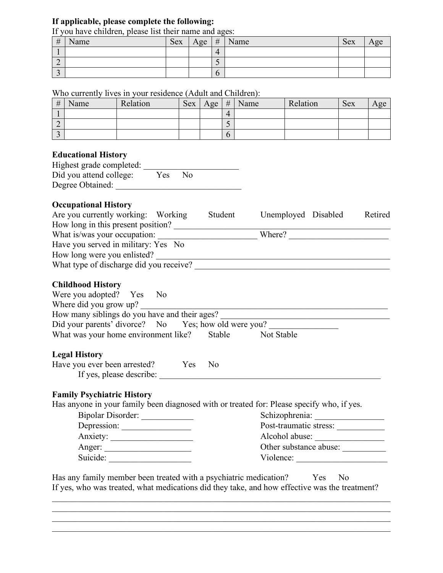### **If applicable, please complete the following:**

If you have children, please list their name and ages:

| #      | Name | <b>Sex</b> | Age | #             | Name | <b>Sex</b> |  |
|--------|------|------------|-----|---------------|------|------------|--|
|        |      |            |     | 4             |      |            |  |
| ∼      |      |            |     | ັ             |      |            |  |
| -<br>◡ |      |            |     | $\mathfrak b$ |      |            |  |

### Who currently lives in your residence (Adult and Children):

| # | Name | Relation | Sex | Age | # | Name | Relation | Sex | A oe. |
|---|------|----------|-----|-----|---|------|----------|-----|-------|
|   |      |          |     |     |   |      |          |     |       |
| ∼ |      |          |     |     |   |      |          |     |       |
| ◡ |      |          |     |     |   |      |          |     |       |

#### **Educational History**

| Highest grade completed: |     |    |  |
|--------------------------|-----|----|--|
| Did you attend college:  | Yes | N٥ |  |
| Degree Obtained:         |     |    |  |

# **Occupational History**

| Are you currently working: Working      | Student | Unemployed Disabled | Retired |
|-----------------------------------------|---------|---------------------|---------|
| How long in this present position?      |         |                     |         |
| What is/was your occupation:            |         | Where?              |         |
| Have you served in military: Yes No     |         |                     |         |
| How long were you enlisted?             |         |                     |         |
| What type of discharge did you receive? |         |                     |         |

### **Childhood History**

| Where did you grow up?<br>How many siblings do you have and their ages?                                                        |                |                                          |
|--------------------------------------------------------------------------------------------------------------------------------|----------------|------------------------------------------|
| Did your parents' divorce? No Yes; how old were you?                                                                           |                |                                          |
| What was your home environment like? Stable Not Stable                                                                         |                |                                          |
| <b>Legal History</b>                                                                                                           |                |                                          |
|                                                                                                                                | N <sub>0</sub> |                                          |
| Have you ever been arrested? Yes<br>If yes, please describe:                                                                   |                |                                          |
|                                                                                                                                |                |                                          |
|                                                                                                                                |                |                                          |
| Bipolar Disorder:                                                                                                              |                |                                          |
|                                                                                                                                |                |                                          |
| Depression:                                                                                                                    |                | Post-traumatic stress:                   |
| <b>Family Psychiatric History</b><br>Has anyone in your family been diagnosed with or treated for: Please specify who, if yes. |                | Alcohol abuse:<br>Other substance abuse: |

 $\mathcal{L}_\mathcal{L} = \{ \mathcal{L}_\mathcal{L} = \{ \mathcal{L}_\mathcal{L} = \{ \mathcal{L}_\mathcal{L} = \{ \mathcal{L}_\mathcal{L} = \{ \mathcal{L}_\mathcal{L} = \{ \mathcal{L}_\mathcal{L} = \{ \mathcal{L}_\mathcal{L} = \{ \mathcal{L}_\mathcal{L} = \{ \mathcal{L}_\mathcal{L} = \{ \mathcal{L}_\mathcal{L} = \{ \mathcal{L}_\mathcal{L} = \{ \mathcal{L}_\mathcal{L} = \{ \mathcal{L}_\mathcal{L} = \{ \mathcal{L}_\mathcal{$  $\mathcal{L}_\mathcal{L} = \{ \mathcal{L}_\mathcal{L} = \{ \mathcal{L}_\mathcal{L} = \{ \mathcal{L}_\mathcal{L} = \{ \mathcal{L}_\mathcal{L} = \{ \mathcal{L}_\mathcal{L} = \{ \mathcal{L}_\mathcal{L} = \{ \mathcal{L}_\mathcal{L} = \{ \mathcal{L}_\mathcal{L} = \{ \mathcal{L}_\mathcal{L} = \{ \mathcal{L}_\mathcal{L} = \{ \mathcal{L}_\mathcal{L} = \{ \mathcal{L}_\mathcal{L} = \{ \mathcal{L}_\mathcal{L} = \{ \mathcal{L}_\mathcal{$  $\mathcal{L}_\mathcal{L} = \{ \mathcal{L}_\mathcal{L} = \{ \mathcal{L}_\mathcal{L} = \{ \mathcal{L}_\mathcal{L} = \{ \mathcal{L}_\mathcal{L} = \{ \mathcal{L}_\mathcal{L} = \{ \mathcal{L}_\mathcal{L} = \{ \mathcal{L}_\mathcal{L} = \{ \mathcal{L}_\mathcal{L} = \{ \mathcal{L}_\mathcal{L} = \{ \mathcal{L}_\mathcal{L} = \{ \mathcal{L}_\mathcal{L} = \{ \mathcal{L}_\mathcal{L} = \{ \mathcal{L}_\mathcal{L} = \{ \mathcal{L}_\mathcal{$  $\mathcal{L}_\mathcal{L} = \{ \mathcal{L}_\mathcal{L} = \{ \mathcal{L}_\mathcal{L} = \{ \mathcal{L}_\mathcal{L} = \{ \mathcal{L}_\mathcal{L} = \{ \mathcal{L}_\mathcal{L} = \{ \mathcal{L}_\mathcal{L} = \{ \mathcal{L}_\mathcal{L} = \{ \mathcal{L}_\mathcal{L} = \{ \mathcal{L}_\mathcal{L} = \{ \mathcal{L}_\mathcal{L} = \{ \mathcal{L}_\mathcal{L} = \{ \mathcal{L}_\mathcal{L} = \{ \mathcal{L}_\mathcal{L} = \{ \mathcal{L}_\mathcal{$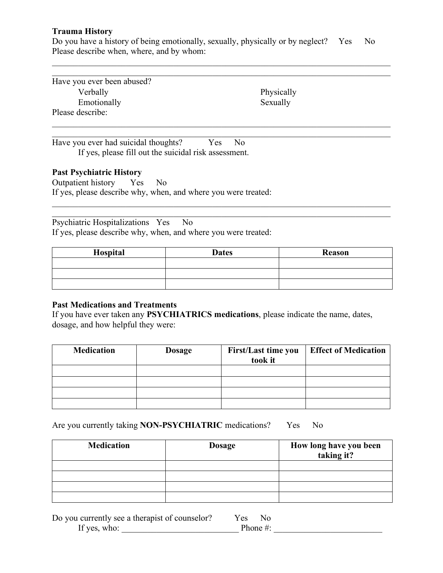### **Trauma History**

Do you have a history of being emotionally, sexually, physically or by neglect? Yes No Please describe when, where, and by whom:

 $\mathcal{L}_\mathcal{L} = \{ \mathcal{L}_\mathcal{L} = \{ \mathcal{L}_\mathcal{L} = \{ \mathcal{L}_\mathcal{L} = \{ \mathcal{L}_\mathcal{L} = \{ \mathcal{L}_\mathcal{L} = \{ \mathcal{L}_\mathcal{L} = \{ \mathcal{L}_\mathcal{L} = \{ \mathcal{L}_\mathcal{L} = \{ \mathcal{L}_\mathcal{L} = \{ \mathcal{L}_\mathcal{L} = \{ \mathcal{L}_\mathcal{L} = \{ \mathcal{L}_\mathcal{L} = \{ \mathcal{L}_\mathcal{L} = \{ \mathcal{L}_\mathcal{$  $\mathcal{L}_\mathcal{L} = \{ \mathcal{L}_\mathcal{L} = \{ \mathcal{L}_\mathcal{L} = \{ \mathcal{L}_\mathcal{L} = \{ \mathcal{L}_\mathcal{L} = \{ \mathcal{L}_\mathcal{L} = \{ \mathcal{L}_\mathcal{L} = \{ \mathcal{L}_\mathcal{L} = \{ \mathcal{L}_\mathcal{L} = \{ \mathcal{L}_\mathcal{L} = \{ \mathcal{L}_\mathcal{L} = \{ \mathcal{L}_\mathcal{L} = \{ \mathcal{L}_\mathcal{L} = \{ \mathcal{L}_\mathcal{L} = \{ \mathcal{L}_\mathcal{$ 

 $\mathcal{L}_\mathcal{L} = \{ \mathcal{L}_\mathcal{L} = \{ \mathcal{L}_\mathcal{L} = \{ \mathcal{L}_\mathcal{L} = \{ \mathcal{L}_\mathcal{L} = \{ \mathcal{L}_\mathcal{L} = \{ \mathcal{L}_\mathcal{L} = \{ \mathcal{L}_\mathcal{L} = \{ \mathcal{L}_\mathcal{L} = \{ \mathcal{L}_\mathcal{L} = \{ \mathcal{L}_\mathcal{L} = \{ \mathcal{L}_\mathcal{L} = \{ \mathcal{L}_\mathcal{L} = \{ \mathcal{L}_\mathcal{L} = \{ \mathcal{L}_\mathcal{$  $\mathcal{L}_\mathcal{L} = \{ \mathcal{L}_\mathcal{L} = \{ \mathcal{L}_\mathcal{L} = \{ \mathcal{L}_\mathcal{L} = \{ \mathcal{L}_\mathcal{L} = \{ \mathcal{L}_\mathcal{L} = \{ \mathcal{L}_\mathcal{L} = \{ \mathcal{L}_\mathcal{L} = \{ \mathcal{L}_\mathcal{L} = \{ \mathcal{L}_\mathcal{L} = \{ \mathcal{L}_\mathcal{L} = \{ \mathcal{L}_\mathcal{L} = \{ \mathcal{L}_\mathcal{L} = \{ \mathcal{L}_\mathcal{L} = \{ \mathcal{L}_\mathcal{$ 

Have you ever been abused? Verbally Emotionally Please describe:

 Physically Sexually

Have you ever had suicidal thoughts? Yes No If yes, please fill out the suicidal risk assessment.

#### **Past Psychiatric History**

Outpatient history Yes No If yes, please describe why, when, and where you were treated:

Psychiatric Hospitalizations Yes No If yes, please describe why, when, and where you were treated:

| Hospital | <b>Dates</b> | Reason |
|----------|--------------|--------|
|          |              |        |
|          |              |        |
|          |              |        |

 $\mathcal{L}_\mathcal{L} = \{ \mathcal{L}_\mathcal{L} = \{ \mathcal{L}_\mathcal{L} = \{ \mathcal{L}_\mathcal{L} = \{ \mathcal{L}_\mathcal{L} = \{ \mathcal{L}_\mathcal{L} = \{ \mathcal{L}_\mathcal{L} = \{ \mathcal{L}_\mathcal{L} = \{ \mathcal{L}_\mathcal{L} = \{ \mathcal{L}_\mathcal{L} = \{ \mathcal{L}_\mathcal{L} = \{ \mathcal{L}_\mathcal{L} = \{ \mathcal{L}_\mathcal{L} = \{ \mathcal{L}_\mathcal{L} = \{ \mathcal{L}_\mathcal{$  $\mathcal{L}_\mathcal{L} = \{ \mathcal{L}_\mathcal{L} = \{ \mathcal{L}_\mathcal{L} = \{ \mathcal{L}_\mathcal{L} = \{ \mathcal{L}_\mathcal{L} = \{ \mathcal{L}_\mathcal{L} = \{ \mathcal{L}_\mathcal{L} = \{ \mathcal{L}_\mathcal{L} = \{ \mathcal{L}_\mathcal{L} = \{ \mathcal{L}_\mathcal{L} = \{ \mathcal{L}_\mathcal{L} = \{ \mathcal{L}_\mathcal{L} = \{ \mathcal{L}_\mathcal{L} = \{ \mathcal{L}_\mathcal{L} = \{ \mathcal{L}_\mathcal{$ 

### **Past Medications and Treatments**

If you have ever taken any **PSYCHIATRICS medications**, please indicate the name, dates, dosage, and how helpful they were:

| <b>Medication</b> | <b>Dosage</b> | <b>First/Last time you</b><br>took it | <b>Effect of Medication</b> |
|-------------------|---------------|---------------------------------------|-----------------------------|
|                   |               |                                       |                             |
|                   |               |                                       |                             |
|                   |               |                                       |                             |
|                   |               |                                       |                             |

Are you currently taking **NON-PSYCHIATRIC** medications? Yes No

| <b>Medication</b> | <b>Dosage</b> | How long have you been<br>taking it? |
|-------------------|---------------|--------------------------------------|
|                   |               |                                      |
|                   |               |                                      |
|                   |               |                                      |
|                   |               |                                      |

| Do you currently see a therapist of counselor? | Yes<br>- No |  |
|------------------------------------------------|-------------|--|
| If yes, who:                                   | Phone $#$ : |  |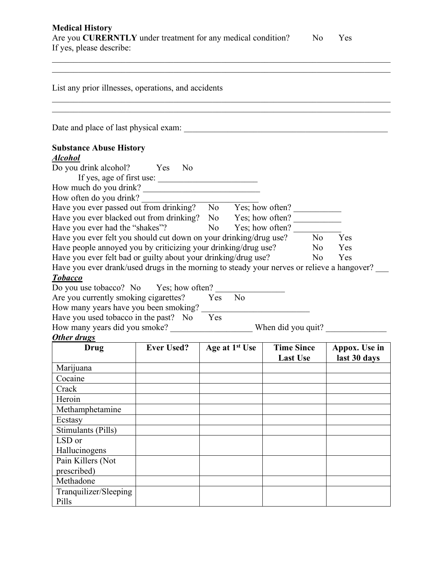| <b>Medical History</b>                                              |    |      |  |
|---------------------------------------------------------------------|----|------|--|
| Are you <b>CURERNTLY</b> under treatment for any medical condition? | No | Yes. |  |
| If yes, please describe:                                            |    |      |  |
|                                                                     |    |      |  |

 $\mathcal{L}_\mathcal{L} = \{ \mathcal{L}_\mathcal{L} = \{ \mathcal{L}_\mathcal{L} = \{ \mathcal{L}_\mathcal{L} = \{ \mathcal{L}_\mathcal{L} = \{ \mathcal{L}_\mathcal{L} = \{ \mathcal{L}_\mathcal{L} = \{ \mathcal{L}_\mathcal{L} = \{ \mathcal{L}_\mathcal{L} = \{ \mathcal{L}_\mathcal{L} = \{ \mathcal{L}_\mathcal{L} = \{ \mathcal{L}_\mathcal{L} = \{ \mathcal{L}_\mathcal{L} = \{ \mathcal{L}_\mathcal{L} = \{ \mathcal{L}_\mathcal{$ List any prior illnesses, operations, and accidents  $\mathcal{L}_\mathcal{L} = \{ \mathcal{L}_\mathcal{L} = \{ \mathcal{L}_\mathcal{L} = \{ \mathcal{L}_\mathcal{L} = \{ \mathcal{L}_\mathcal{L} = \{ \mathcal{L}_\mathcal{L} = \{ \mathcal{L}_\mathcal{L} = \{ \mathcal{L}_\mathcal{L} = \{ \mathcal{L}_\mathcal{L} = \{ \mathcal{L}_\mathcal{L} = \{ \mathcal{L}_\mathcal{L} = \{ \mathcal{L}_\mathcal{L} = \{ \mathcal{L}_\mathcal{L} = \{ \mathcal{L}_\mathcal{L} = \{ \mathcal{L}_\mathcal{$  $\mathcal{L}_\mathcal{L} = \{ \mathcal{L}_\mathcal{L} = \{ \mathcal{L}_\mathcal{L} = \{ \mathcal{L}_\mathcal{L} = \{ \mathcal{L}_\mathcal{L} = \{ \mathcal{L}_\mathcal{L} = \{ \mathcal{L}_\mathcal{L} = \{ \mathcal{L}_\mathcal{L} = \{ \mathcal{L}_\mathcal{L} = \{ \mathcal{L}_\mathcal{L} = \{ \mathcal{L}_\mathcal{L} = \{ \mathcal{L}_\mathcal{L} = \{ \mathcal{L}_\mathcal{L} = \{ \mathcal{L}_\mathcal{L} = \{ \mathcal{L}_\mathcal{$ Date and place of last physical exam: **Substance Abuse History**  *Alcohol*  Do you drink alcohol? Yes No If yes, age of first use: \_\_\_\_\_\_\_\_\_\_\_\_\_\_\_\_\_\_\_\_\_\_\_ How much do you drink?  $\qquad \qquad \qquad$ How often do you drink? Have you ever passed out from drinking? No Yes; how often? Have you ever blacked out from drinking? No Yes; how often? Have you ever had the "shakes"? No Yes; how often? Have you ever felt you should cut down on your drinking/drug use? No Yes Have people annoved you by criticizing your drinking/drug use? No Yes Have you ever felt bad or guilty about your drinking/drug use? No Yes Have you ever drank/used drugs in the morning to steady your nerves or relieve a hangover? *Tobacco* Do you use tobacco? No Yes; how often? Are you currently smoking cigarettes? Yes No How many years have you been smoking? Have you used tobacco in the past? No Yes How many years did you smoke? When did you quit? *Other drugs* **Drug Ever Used? Age at 1<sup>st</sup> Use Time Since Last Use Appox. Use in last 30 days** Marijuana Cocaine Crack Heroin Methamphetamine Ecstasy Stimulants (Pills) LSD or Hallucinogens Pain Killers (Not prescribed) Methadone

Tranquilizer/Sleeping

Pills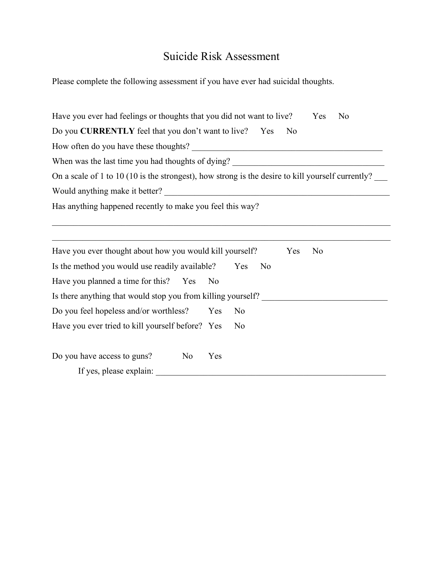# Suicide Risk Assessment

Please complete the following assessment if you have ever had suicidal thoughts.

| Have you ever had feelings or thoughts that you did not want to live?                            | N <sub>0</sub><br>Yes |  |  |  |  |  |  |  |
|--------------------------------------------------------------------------------------------------|-----------------------|--|--|--|--|--|--|--|
| Do you <b>CURRENTLY</b> feel that you don't want to live? Yes                                    | N <sub>0</sub>        |  |  |  |  |  |  |  |
| When was the last time you had thoughts of dying?<br><u> 1980 - Jan Samuel Barbara, martin a</u> |                       |  |  |  |  |  |  |  |
|                                                                                                  |                       |  |  |  |  |  |  |  |
|                                                                                                  |                       |  |  |  |  |  |  |  |
| Has anything happened recently to make you feel this way?                                        |                       |  |  |  |  |  |  |  |
|                                                                                                  |                       |  |  |  |  |  |  |  |
|                                                                                                  |                       |  |  |  |  |  |  |  |
| Have you ever thought about how you would kill yourself?                                         | Yes<br>N <sub>0</sub> |  |  |  |  |  |  |  |
| Is the method you would use readily available?                                                   | Yes<br>N <sub>0</sub> |  |  |  |  |  |  |  |
| Have you planned a time for this? Yes                                                            | N <sub>0</sub>        |  |  |  |  |  |  |  |
| Is there anything that would stop you from killing yourself?                                     |                       |  |  |  |  |  |  |  |
| Do you feel hopeless and/or worthless?                                                           | Yes<br>N <sub>0</sub> |  |  |  |  |  |  |  |
| Have you ever tried to kill yourself before? Yes                                                 | N <sub>0</sub>        |  |  |  |  |  |  |  |
| Do you have access to guns?<br>N <sub>0</sub>                                                    | Yes                   |  |  |  |  |  |  |  |
| If yes, please explain:                                                                          |                       |  |  |  |  |  |  |  |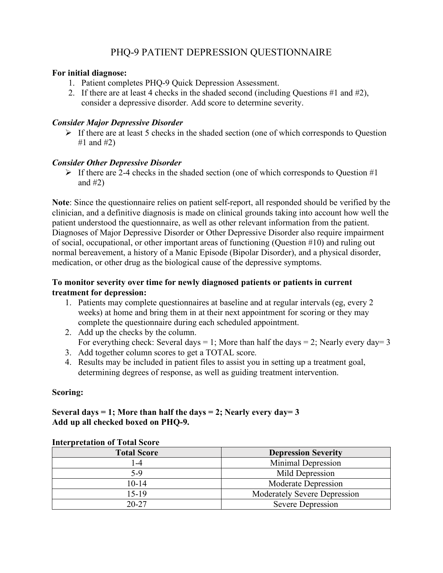# PHQ-9 PATIENT DEPRESSION QUESTIONNAIRE

### **For initial diagnose:**

- 1. Patient completes PHQ-9 Quick Depression Assessment.
- 2. If there are at least 4 checks in the shaded second (including Questions #1 and #2), consider a depressive disorder. Add score to determine severity.

# *Consider Major Depressive Disorder*

 $\triangleright$  If there are at least 5 checks in the shaded section (one of which corresponds to Question #1 and  $#2)$ 

# *Consider Other Depressive Disorder*

 $\triangleright$  If there are 2-4 checks in the shaded section (one of which corresponds to Question #1) and  $#2)$ 

**Note**: Since the questionnaire relies on patient self-report, all responded should be verified by the clinician, and a definitive diagnosis is made on clinical grounds taking into account how well the patient understood the questionnaire, as well as other relevant information from the patient. Diagnoses of Major Depressive Disorder or Other Depressive Disorder also require impairment of social, occupational, or other important areas of functioning (Question #10) and ruling out normal bereavement, a history of a Manic Episode (Bipolar Disorder), and a physical disorder, medication, or other drug as the biological cause of the depressive symptoms.

# **To monitor severity over time for newly diagnosed patients or patients in current treatment for depression:**

- 1. Patients may complete questionnaires at baseline and at regular intervals (eg, every 2 weeks) at home and bring them in at their next appointment for scoring or they may complete the questionnaire during each scheduled appointment.
- 2. Add up the checks by the column. For everything check: Several days = 1; More than half the days = 2; Nearly every day= 3
- 3. Add together column scores to get a TOTAL score.
- 4. Results may be included in patient files to assist you in setting up a treatment goal, determining degrees of response, as well as guiding treatment intervention.

# **Scoring:**

# **Several days = 1; More than half the days = 2; Nearly every day= 3 Add up all checked boxed on PHQ-9.**

| mich pretation or rotal score |                                                                                              |  |  |  |  |
|-------------------------------|----------------------------------------------------------------------------------------------|--|--|--|--|
| <b>Total Score</b>            | <b>Depression Severity</b>                                                                   |  |  |  |  |
| l -4                          | Minimal Depression<br>Mild Depression<br>Moderate Depression<br>Moderately Severe Depression |  |  |  |  |
| $5-9$                         |                                                                                              |  |  |  |  |
| $10 - 14$                     |                                                                                              |  |  |  |  |
| 15-19                         |                                                                                              |  |  |  |  |
| $20 - 27$                     | Severe Depression                                                                            |  |  |  |  |

# **Interpretation of Total Score**